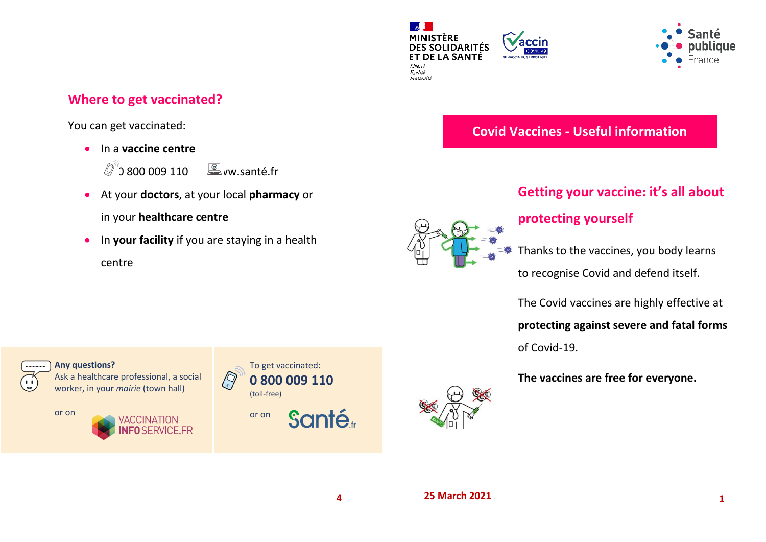## **Where to get vaccinated?**

You can get vaccinated:

- In a **vaccine centre**
	- $\oslash$  800 009 110  $\enspace \textcircled{\textcirc}$  ww.santé.fr
- At your **doctors**, at your local **pharmacy** or in your **healthcare centre**
- **In your facility** if you are staying in a health centre





# **Covid Vaccines - Useful information**

# **Getting your vaccine: it's all about**



## **protecting yourself**

Thanks to the vaccines, you body learns

to recognise Covid and defend itself.

The Covid vaccines are highly effective at

#### **protecting against severe and fatal forms**

of Covid-19.

**The vaccines are free for everyone.**



**Any questions?** Ask a healthcare professional, a social worker, in your *mairie* (town hall)









**4 25 March 2021 1**